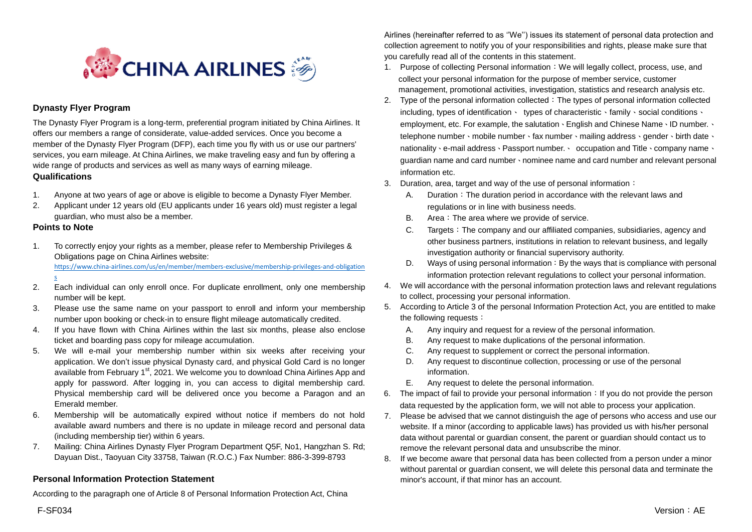

## **Dynasty Flyer Program**

The Dynasty Flyer Program is a long-term, preferential program initiated by China Airlines. It offers our members a range of considerate, value-added services. Once you become a member of the Dynasty Flyer Program (DFP), each time you fly with us or use our partners' services, you earn mileage. At China Airlines, we make traveling easy and fun by offering a wide range of products and services as well as many ways of earning mileage. **Qualifications**

- 1. Anyone at two years of age or above is eligible to become a Dynasty Flyer Member.
- 2. Applicant under 12 years old (EU applicants under 16 years old) must register a legal guardian, who must also be a member.

## **Points to Note**

[s](https://www.china-airlines.com/us/en/member/members-exclusive/membership-privileges-and-obligations)

1. To correctly enjoy your rights as a member, please refer to Membership Privileges & Obligations page on China Airlines website:

[https://www.china-airlines.com/us/en/member/members-exclusive/membership-privileges-and-obligation](https://www.china-airlines.com/us/en/member/members-exclusive/membership-privileges-and-obligations)

- 2. Each individual can only enroll once. For duplicate enrollment, only one membership number will be kept.
- 3. Please use the same name on your passport to enroll and inform your membership number upon booking or check-in to ensure flight mileage automatically credited.
- 4. If you have flown with China Airlines within the last six months, please also enclose ticket and boarding pass copy for mileage accumulation.
- 5. We will e-mail your membership number within six weeks after receiving your application. We don't issue physical Dynasty card, and physical Gold Card is no longer available from February 1<sup>st</sup>, 2021. We welcome you to download China Airlines App and apply for password. After logging in, you can access to digital membership card. Physical membership card will be delivered once you become a Paragon and an Emerald member.
- 6. Membership will be automatically expired without notice if members do not hold available award numbers and there is no update in mileage record and personal data (including membership tier) within 6 years.
- 7. Mailing: China Airlines Dynasty Flyer Program Department Q5F, No1, Hangzhan S. Rd; Dayuan Dist., Taoyuan City 33758, Taiwan (R.O.C.) Fax Number: 886-3-399-8793

## **Personal Information Protection Statement**

According to the paragraph one of Article 8 of Personal Information Protection Act, China

Airlines (hereinafter referred to as ''We'') issues its statement of personal data protection and collection agreement to notify you of your responsibilities and rights, please make sure that you carefully read all of the contents in this statement.

- 1. Purpose of collecting Personal information:We will legally collect, process, use, and collect your personal information for the purpose of member service, customer management, promotional activities, investigation, statistics and research analysis etc.
- 2. Type of the personal information collected: The types of personal information collected including, types of identification、 types of characteristic、family、social conditions、 employment, etc. For example, the salutation、English and Chinese Name、ID number.、 telephone number、mobile number、fax number、mailing address、gender、birth date、 nationality、e-mail address、Passport number.、 occupation and Title、company name、 guardian name and card number、nominee name and card number and relevant personal information etc.
- 3. Duration, area, target and way of the use of personal information:
	- A. Duration: The duration period in accordance with the relevant laws and regulations or in line with business needs.
	- B. Area: The area where we provide of service.
	- C. Targets:The company and our affiliated companies, subsidiaries, agency and other business partners, institutions in relation to relevant business, and legally investigation authority or financial supervisory authority.
	- D. Ways of using personal information: By the ways that is compliance with personal information protection relevant regulations to collect your personal information.
- 4. We will accordance with the personal information protection laws and relevant regulations to collect, processing your personal information.
- 5. According to Article 3 of the personal Information Protection Act, you are entitled to make the following requests:
	- A. Any inquiry and request for a review of the personal information.
	- B. Any request to make duplications of the personal information.
	- C. Any request to supplement or correct the personal information.
	- D. Any request to discontinue collection, processing or use of the personal information.
	- E. Any request to delete the personal information.
- 6. The impact of fail to provide your personal information: If you do not provide the person data requested by the application form, we will not able to process your application.
- 7. Please be advised that we cannot distinguish the age of persons who access and use our website. If a minor (according to applicable laws) has provided us with his/her personal data without parental or guardian consent, the parent or guardian should contact us to remove the relevant personal data and unsubscribe the minor.
- 8. If we become aware that personal data has been collected from a person under a minor without parental or guardian consent, we will delete this personal data and terminate the minor's account, if that minor has an account.